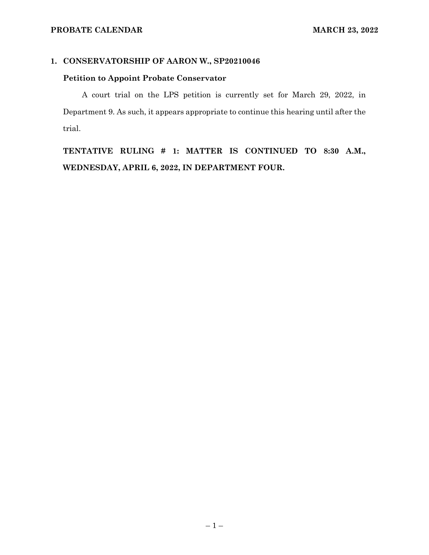## **1. CONSERVATORSHIP OF AARON W., SP20210046**

### **Petition to Appoint Probate Conservator**

A court trial on the LPS petition is currently set for March 29, 2022, in Department 9. As such, it appears appropriate to continue this hearing until after the trial.

**TENTATIVE RULING # 1: MATTER IS CONTINUED TO 8:30 A.M., WEDNESDAY, APRIL 6, 2022, IN DEPARTMENT FOUR.**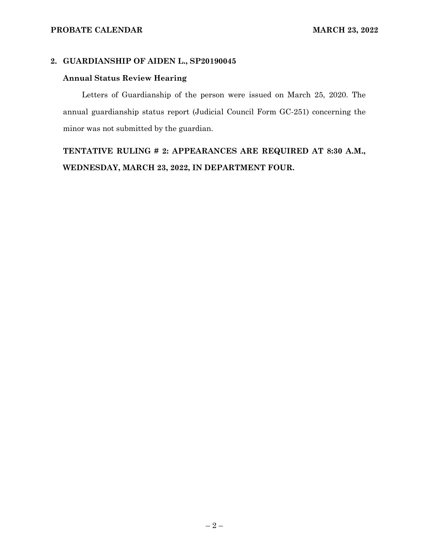## **2. GUARDIANSHIP OF AIDEN L., SP20190045**

### **Annual Status Review Hearing**

Letters of Guardianship of the person were issued on March 25, 2020. The annual guardianship status report (Judicial Council Form GC-251) concerning the minor was not submitted by the guardian.

# **TENTATIVE RULING # 2: APPEARANCES ARE REQUIRED AT 8:30 A.M., WEDNESDAY, MARCH 23, 2022, IN DEPARTMENT FOUR.**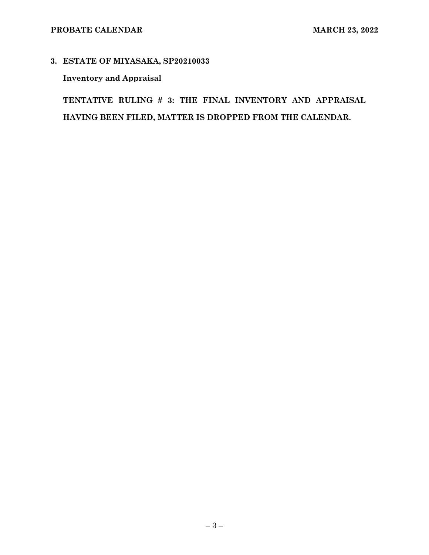# **3. ESTATE OF MIYASAKA, SP20210033**

# **Inventory and Appraisal**

**TENTATIVE RULING # 3: THE FINAL INVENTORY AND APPRAISAL HAVING BEEN FILED, MATTER IS DROPPED FROM THE CALENDAR.**